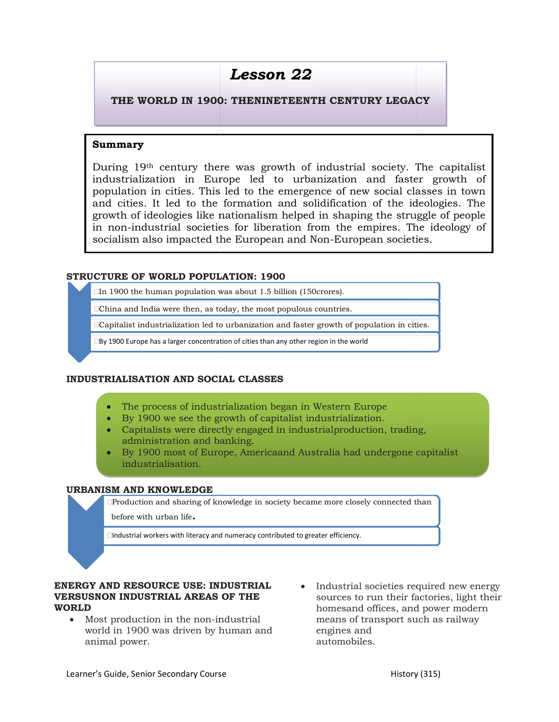# Lesson 22

#### THE WORLD IN 1900: THENINETEENTH CENTURY LEGACY THE WORLD

#### Summary

During 19th century there was growth of industrial society. The capitalist industrialization in Europe led to urbanization and faster growth of population in cities. This led to the emergence of new social classes in town  $|$ and cities. It led to the formation and solidification of the ideologies. The and cities. It led to the formation and solidification of the ideologies. The growth of ideologies like nationalism helped in shaping the struggle of people in non-industrial societies for liberation from the empires. The ideology of socialism also impacted the European and Non-European societies. From the set of industrial society. The capitalist<br>ation in Europe led to urbanization and faster growth of<br>in cities. This led to the emergence of new social classes in town<br>It led to the formation and solidification of of ideologies like nationalism helped in shaping the struggle of people<br>industrial societies for liberation from the empires. The ideology of<br>m also impacted the European and Non-European societies. industrial society. The capitalist<br>nization and faster growth of<br>nce of new social classes in town<br>idification of the ideologies. The<br>in shaping the struggle of people<br>on the empires. The ideology of<br>ion-European societies industrial societies for liberation from the empires. The idea also impacted the European and Non-European societies.<br> **OF WORLD POPULATION: 1900**<br>
the human population was about 1.5 billion (150crores).<br>
Ad India were the

#### STRUCTURE OF WORLD POPULATION: 1900

 $\Box$ In 1900 the human population was about 1.5 billion (150 crores).

China and India were then, as today, the most populous countries.

 $\Box$ In 1900 the human population was about 1.5 billion (150crores).<br> $\Box$ China and India were then, as today, the most populous countries.<br> $\Box$ Capitalist industrialization led to urbanization and faster growth of populatio

 $\square$ By 1900 Europe has a larger concentration of cities than any other region in the world

#### INDUSTRIALISATION AND SOCIAL CLASSES

- The process of industrialization began in Western Europe **The Community of the United States**
- By 1900 we see the growth of capitalist industrialization.
- Capitalists were directly engaged in industrialproduction, trading, administration and banking.
- By 1900 most of Europe, Americaand Australia had undergone capitalist industrialisation.

#### URBANISM AND KNOWLEDGE

 $\Box$ Production and sharing of knowledge in society became more closely connected than

before with urban life.

Industrial workers with literacy and numeracy contributed to greater efficiency.

#### **ENERGY AND RESOURCE USE: INDUSTRIAL** • Industrial societies required new energy VERSUSNON INDUSTRIAL AREAS OF THE ENERGY AND OF WORLD

- Most production in the non-industrial means of transport such world in 1900 was driven by human and animal power.
- **RESOURCE USE: INDUSTRIAL** <br> **EXECUTE: INDUSTRIAL AREAS OF THE**<br> **EXECUTE:** Sources to run their factories, light their<br>
duction in the non-industrial means of transport such as railway<br>
1900 was driven by human and engine sources to run their factories, light their homesand offices, and power modern means of transport such as railway engines and automobiles.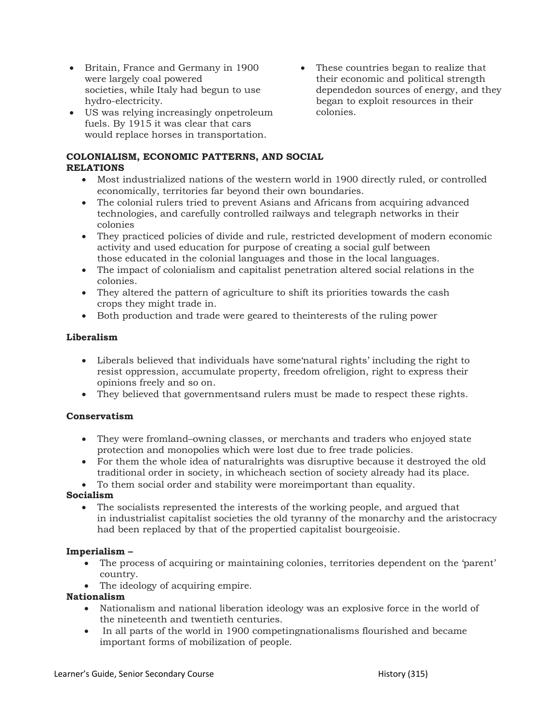- Britain, France and Germany in 1900 were largely coal powered societies, while Italy had begun to use hydro-electricity.
- US was relying increasingly onpetroleum fuels. By 1915 it was clear that cars would replace horses in transportation.
- These countries began to realize that their economic and political strength dependedon sources of energy, and they began to exploit resources in their colonies.

# COLONIALISM, ECONOMIC PATTERNS, AND SOCIAL RELATIONS

- Most industrialized nations of the western world in 1900 directly ruled, or controlled economically, territories far beyond their own boundaries.
- The colonial rulers tried to prevent Asians and Africans from acquiring advanced technologies, and carefully controlled railways and telegraph networks in their colonies
- They practiced policies of divide and rule, restricted development of modern economic activity and used education for purpose of creating a social gulf between those educated in the colonial languages and those in the local languages.
- The impact of colonialism and capitalist penetration altered social relations in the colonies.
- They altered the pattern of agriculture to shift its priorities towards the cash crops they might trade in.
- Both production and trade were geared to theinterests of the ruling power

# Liberalism

- Liberals believed that individuals have some'natural rights' including the right to resist oppression, accumulate property, freedom ofreligion, right to express their opinions freely and so on.
- They believed that governmentsand rulers must be made to respect these rights.

# Conservatism

- They were fromland–owning classes, or merchants and traders who enjoyed state protection and monopolies which were lost due to free trade policies.
- For them the whole idea of naturalrights was disruptive because it destroyed the old traditional order in society, in whicheach section of society already had its place.
- To them social order and stability were moreimportant than equality.

# Socialism

 The socialists represented the interests of the working people, and argued that in industrialist capitalist societies the old tyranny of the monarchy and the aristocracy had been replaced by that of the propertied capitalist bourgeoisie.

# Imperialism –

- The process of acquiring or maintaining colonies, territories dependent on the 'parent' country.
- The ideology of acquiring empire.

# Nationalism

- Nationalism and national liberation ideology was an explosive force in the world of the nineteenth and twentieth centuries.
- In all parts of the world in 1900 competingnationalisms flourished and became important forms of mobilization of people.